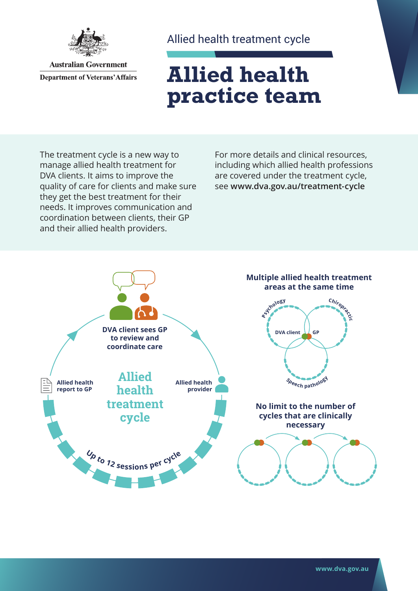

**Australian Government Department of Veterans' Affairs**  Allied health treatment cycle

## **Allied health practice team**

The treatment cycle is a new way to manage allied health treatment for DVA clients. It aims to improve the quality of care for clients and make sure they get the best treatment for their needs. It improves communication and coordination between clients, their GP and their allied health providers.

For more details and clinical resources, including which allied health professions are covered under the treatment cycle, see **[www.dva.gov.au/](http://www.dva.gov.au/treatment-cycle)treatment-cycle**